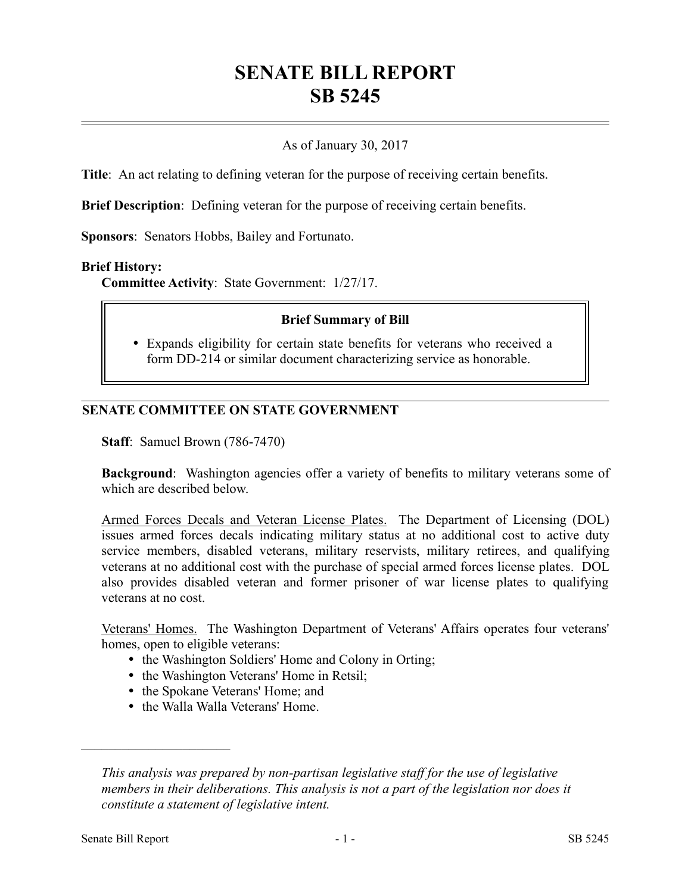# **SENATE BILL REPORT SB 5245**

# As of January 30, 2017

**Title**: An act relating to defining veteran for the purpose of receiving certain benefits.

**Brief Description**: Defining veteran for the purpose of receiving certain benefits.

**Sponsors**: Senators Hobbs, Bailey and Fortunato.

### **Brief History:**

**Committee Activity**: State Government: 1/27/17.

### **Brief Summary of Bill**

 Expands eligibility for certain state benefits for veterans who received a form DD-214 or similar document characterizing service as honorable.

# **SENATE COMMITTEE ON STATE GOVERNMENT**

**Staff**: Samuel Brown (786-7470)

**Background**: Washington agencies offer a variety of benefits to military veterans some of which are described below.

Armed Forces Decals and Veteran License Plates. The Department of Licensing (DOL) issues armed forces decals indicating military status at no additional cost to active duty service members, disabled veterans, military reservists, military retirees, and qualifying veterans at no additional cost with the purchase of special armed forces license plates. DOL also provides disabled veteran and former prisoner of war license plates to qualifying veterans at no cost.

Veterans' Homes. The Washington Department of Veterans' Affairs operates four veterans' homes, open to eligible veterans:

- the Washington Soldiers' Home and Colony in Orting;
- the Washington Veterans' Home in Retsil;
- the Spokane Veterans' Home; and
- the Walla Walla Veterans' Home.

––––––––––––––––––––––

*This analysis was prepared by non-partisan legislative staff for the use of legislative members in their deliberations. This analysis is not a part of the legislation nor does it constitute a statement of legislative intent.*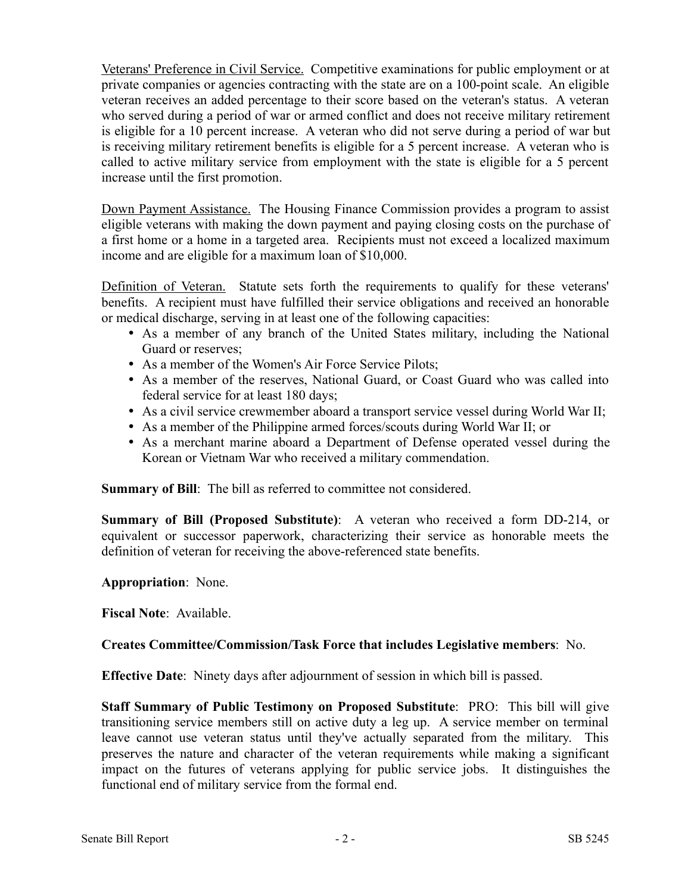Veterans' Preference in Civil Service. Competitive examinations for public employment or at private companies or agencies contracting with the state are on a 100-point scale. An eligible veteran receives an added percentage to their score based on the veteran's status. A veteran who served during a period of war or armed conflict and does not receive military retirement is eligible for a 10 percent increase. A veteran who did not serve during a period of war but is receiving military retirement benefits is eligible for a 5 percent increase. A veteran who is called to active military service from employment with the state is eligible for a 5 percent increase until the first promotion.

Down Payment Assistance. The Housing Finance Commission provides a program to assist eligible veterans with making the down payment and paying closing costs on the purchase of a first home or a home in a targeted area. Recipients must not exceed a localized maximum income and are eligible for a maximum loan of \$10,000.

Definition of Veteran. Statute sets forth the requirements to qualify for these veterans' benefits. A recipient must have fulfilled their service obligations and received an honorable or medical discharge, serving in at least one of the following capacities:

- As a member of any branch of the United States military, including the National Guard or reserves;
- As a member of the Women's Air Force Service Pilots;
- As a member of the reserves, National Guard, or Coast Guard who was called into federal service for at least 180 days;
- As a civil service crewmember aboard a transport service vessel during World War II;
- As a member of the Philippine armed forces/scouts during World War II; or
- As a merchant marine aboard a Department of Defense operated vessel during the Korean or Vietnam War who received a military commendation.

**Summary of Bill:** The bill as referred to committee not considered.

**Summary of Bill (Proposed Substitute)**: A veteran who received a form DD-214, or equivalent or successor paperwork, characterizing their service as honorable meets the definition of veteran for receiving the above-referenced state benefits.

**Appropriation**: None.

**Fiscal Note**: Available.

# **Creates Committee/Commission/Task Force that includes Legislative members**: No.

**Effective Date**: Ninety days after adjournment of session in which bill is passed.

**Staff Summary of Public Testimony on Proposed Substitute**: PRO: This bill will give transitioning service members still on active duty a leg up. A service member on terminal leave cannot use veteran status until they've actually separated from the military. This preserves the nature and character of the veteran requirements while making a significant impact on the futures of veterans applying for public service jobs. It distinguishes the functional end of military service from the formal end.